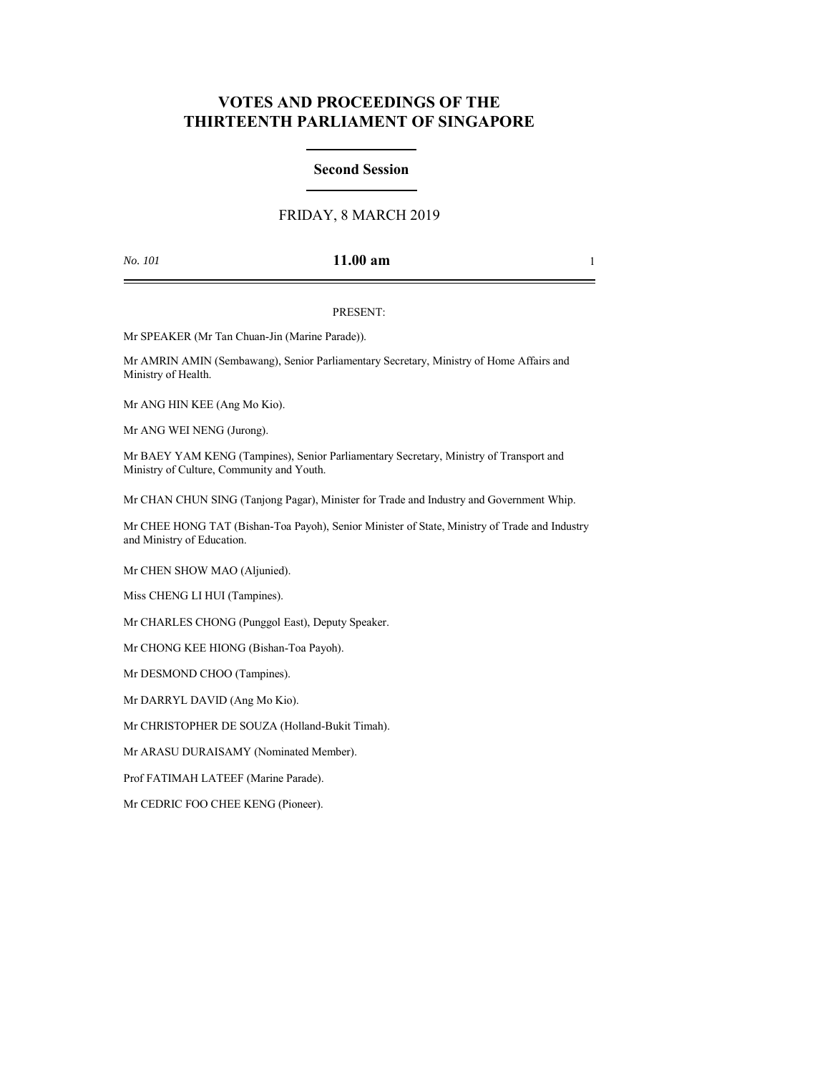# **VOTES AND PROCEEDINGS OF THE THIRTEENTH PARLIAMENT OF SINGAPORE**

## **Second Session**

# FRIDAY, 8 MARCH 2019

## *No. 101* **11.00 am** 1

### PRESENT:

Mr SPEAKER (Mr Tan Chuan-Jin (Marine Parade)).

Mr AMRIN AMIN (Sembawang), Senior Parliamentary Secretary, Ministry of Home Affairs and Ministry of Health.

Mr ANG HIN KEE (Ang Mo Kio).

Mr ANG WEI NENG (Jurong).

Mr BAEY YAM KENG (Tampines), Senior Parliamentary Secretary, Ministry of Transport and Ministry of Culture, Community and Youth.

Mr CHAN CHUN SING (Tanjong Pagar), Minister for Trade and Industry and Government Whip.

Mr CHEE HONG TAT (Bishan-Toa Payoh), Senior Minister of State, Ministry of Trade and Industry and Ministry of Education.

Mr CHEN SHOW MAO (Aljunied).

Miss CHENG LI HUI (Tampines).

Mr CHARLES CHONG (Punggol East), Deputy Speaker.

Mr CHONG KEE HIONG (Bishan-Toa Payoh).

Mr DESMOND CHOO (Tampines).

Mr DARRYL DAVID (Ang Mo Kio).

Mr CHRISTOPHER DE SOUZA (Holland-Bukit Timah).

Mr ARASU DURAISAMY (Nominated Member).

Prof FATIMAH LATEEF (Marine Parade).

Mr CEDRIC FOO CHEE KENG (Pioneer).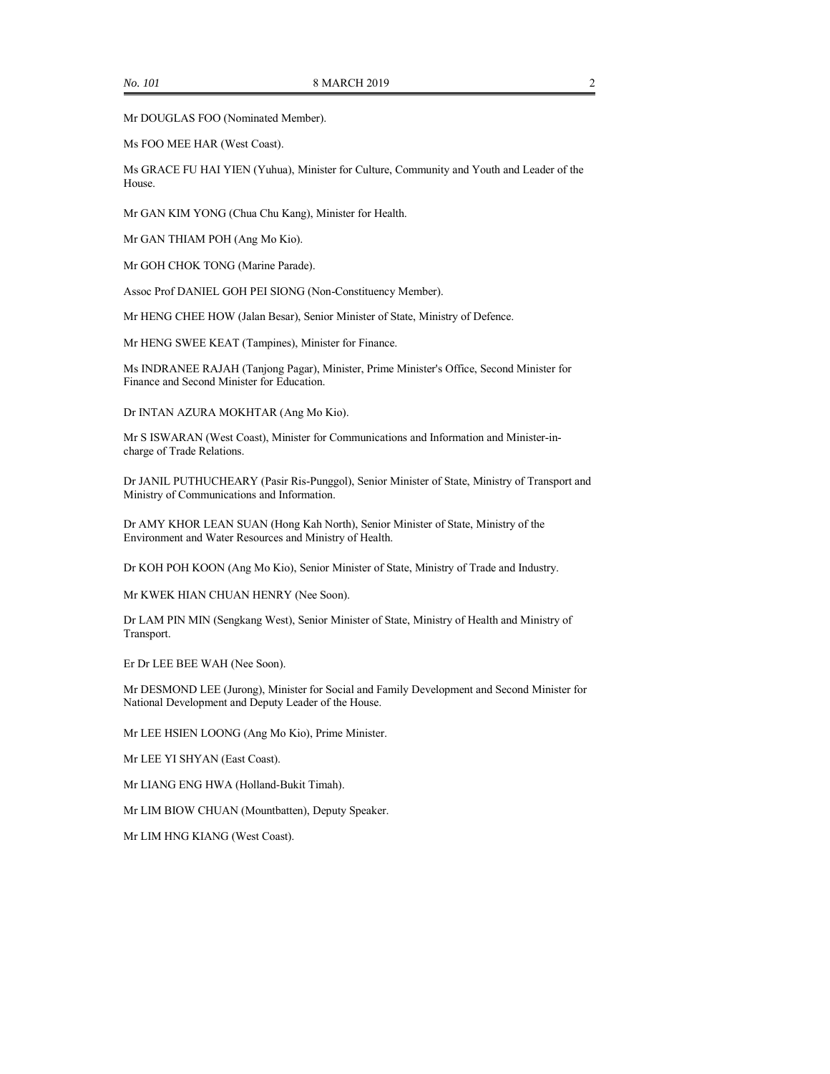Mr DOUGLAS FOO (Nominated Member).

Ms FOO MEE HAR (West Coast).

Ms GRACE FU HAI YIEN (Yuhua), Minister for Culture, Community and Youth and Leader of the House.

Mr GAN KIM YONG (Chua Chu Kang), Minister for Health.

Mr GAN THIAM POH (Ang Mo Kio).

Mr GOH CHOK TONG (Marine Parade).

Assoc Prof DANIEL GOH PEI SIONG (Non-Constituency Member).

Mr HENG CHEE HOW (Jalan Besar), Senior Minister of State, Ministry of Defence.

Mr HENG SWEE KEAT (Tampines), Minister for Finance.

Ms INDRANEE RAJAH (Tanjong Pagar), Minister, Prime Minister's Office, Second Minister for Finance and Second Minister for Education.

Dr INTAN AZURA MOKHTAR (Ang Mo Kio).

Mr S ISWARAN (West Coast), Minister for Communications and Information and Minister-incharge of Trade Relations.

Dr JANIL PUTHUCHEARY (Pasir Ris-Punggol), Senior Minister of State, Ministry of Transport and Ministry of Communications and Information.

Dr AMY KHOR LEAN SUAN (Hong Kah North), Senior Minister of State, Ministry of the Environment and Water Resources and Ministry of Health.

Dr KOH POH KOON (Ang Mo Kio), Senior Minister of State, Ministry of Trade and Industry.

Mr KWEK HIAN CHUAN HENRY (Nee Soon).

Dr LAM PIN MIN (Sengkang West), Senior Minister of State, Ministry of Health and Ministry of Transport.

Er Dr LEE BEE WAH (Nee Soon).

Mr DESMOND LEE (Jurong), Minister for Social and Family Development and Second Minister for National Development and Deputy Leader of the House.

Mr LEE HSIEN LOONG (Ang Mo Kio), Prime Minister.

Mr LEE YI SHYAN (East Coast).

Mr LIANG ENG HWA (Holland-Bukit Timah).

Mr LIM BIOW CHUAN (Mountbatten), Deputy Speaker.

Mr LIM HNG KIANG (West Coast).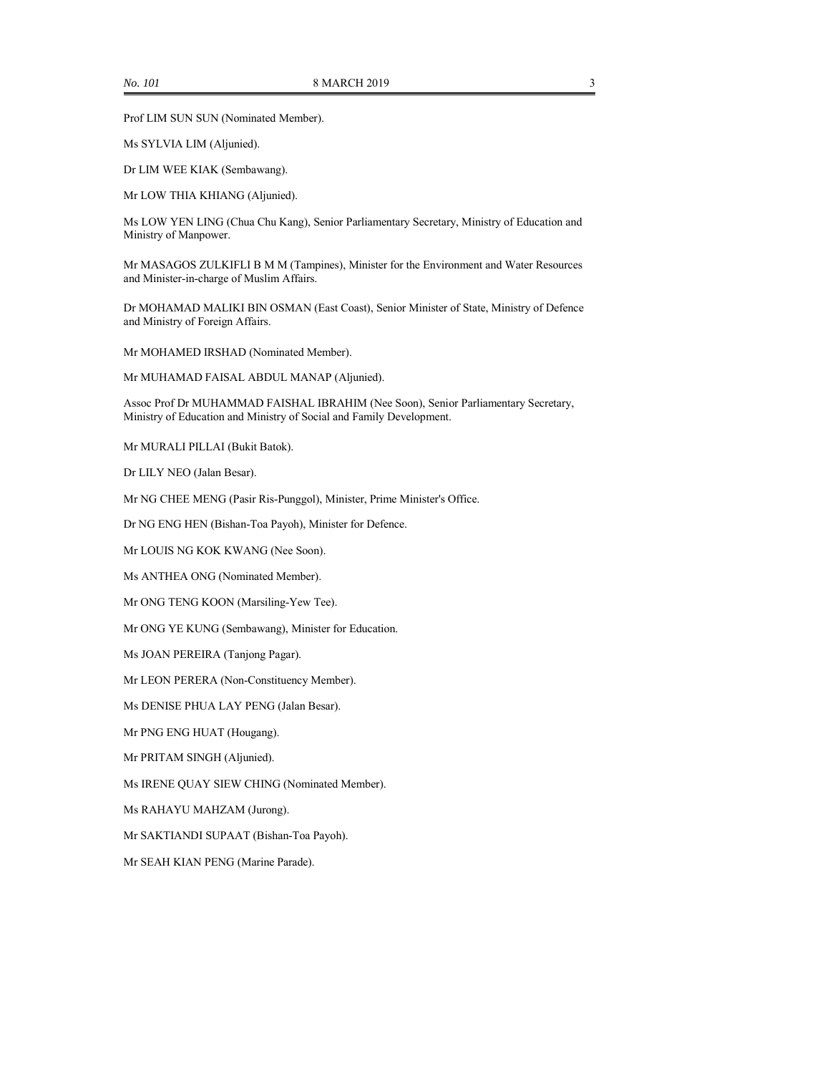Prof LIM SUN SUN (Nominated Member).

Ms SYLVIA LIM (Aljunied).

Dr LIM WEE KIAK (Sembawang).

Mr LOW THIA KHIANG (Aljunied).

Ms LOW YEN LING (Chua Chu Kang), Senior Parliamentary Secretary, Ministry of Education and Ministry of Manpower.

Mr MASAGOS ZULKIFLI B M M (Tampines), Minister for the Environment and Water Resources and Minister-in-charge of Muslim Affairs.

Dr MOHAMAD MALIKI BIN OSMAN (East Coast), Senior Minister of State, Ministry of Defence and Ministry of Foreign Affairs.

Mr MOHAMED IRSHAD (Nominated Member).

Mr MUHAMAD FAISAL ABDUL MANAP (Aljunied).

Assoc Prof Dr MUHAMMAD FAISHAL IBRAHIM (Nee Soon), Senior Parliamentary Secretary, Ministry of Education and Ministry of Social and Family Development.

Mr MURALI PILLAI (Bukit Batok).

Dr LILY NEO (Jalan Besar).

Mr NG CHEE MENG (Pasir Ris-Punggol), Minister, Prime Minister's Office.

Dr NG ENG HEN (Bishan-Toa Payoh), Minister for Defence.

Mr LOUIS NG KOK KWANG (Nee Soon).

Ms ANTHEA ONG (Nominated Member).

Mr ONG TENG KOON (Marsiling-Yew Tee).

Mr ONG YE KUNG (Sembawang), Minister for Education.

Ms JOAN PEREIRA (Tanjong Pagar).

Mr LEON PERERA (Non-Constituency Member).

Ms DENISE PHUA LAY PENG (Jalan Besar).

Mr PNG ENG HUAT (Hougang).

Mr PRITAM SINGH (Aljunied).

Ms IRENE QUAY SIEW CHING (Nominated Member).

Ms RAHAYU MAHZAM (Jurong).

Mr SAKTIANDI SUPAAT (Bishan-Toa Payoh).

Mr SEAH KIAN PENG (Marine Parade).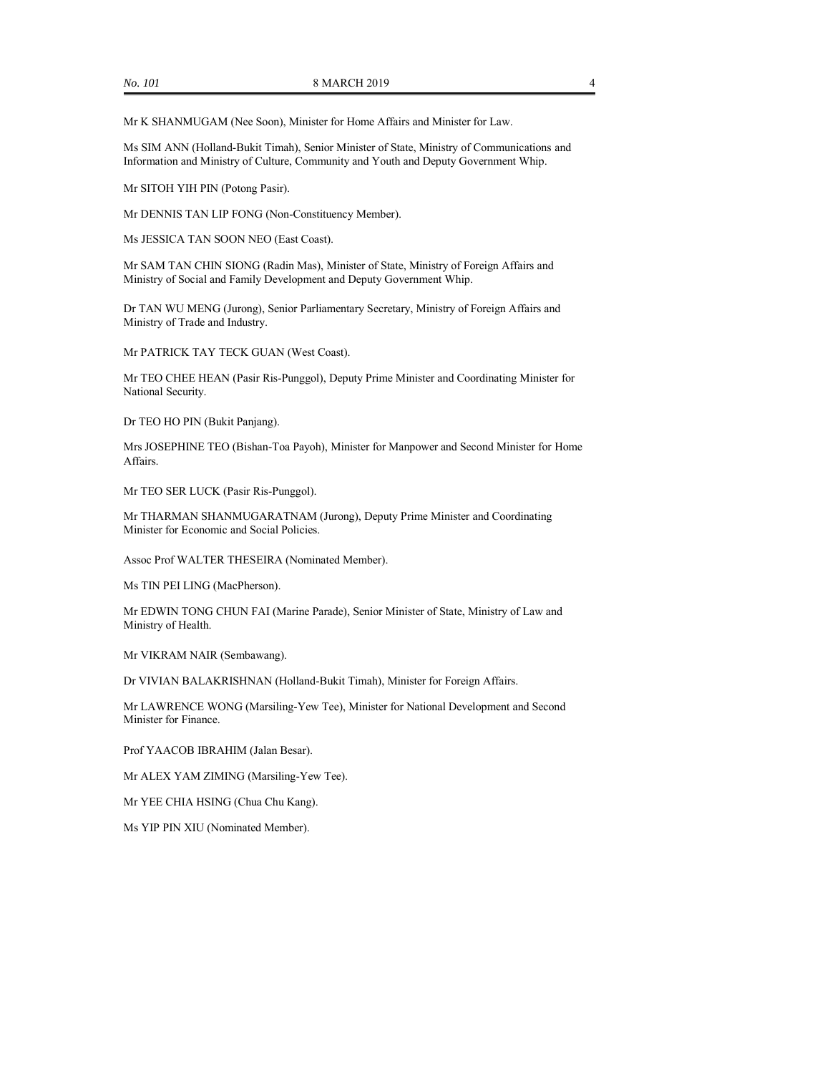Mr K SHANMUGAM (Nee Soon), Minister for Home Affairs and Minister for Law.

Ms SIM ANN (Holland-Bukit Timah), Senior Minister of State, Ministry of Communications and Information and Ministry of Culture, Community and Youth and Deputy Government Whip.

Mr SITOH YIH PIN (Potong Pasir).

Mr DENNIS TAN LIP FONG (Non-Constituency Member).

Ms JESSICA TAN SOON NEO (East Coast).

Mr SAM TAN CHIN SIONG (Radin Mas), Minister of State, Ministry of Foreign Affairs and Ministry of Social and Family Development and Deputy Government Whip.

Dr TAN WU MENG (Jurong), Senior Parliamentary Secretary, Ministry of Foreign Affairs and Ministry of Trade and Industry.

Mr PATRICK TAY TECK GUAN (West Coast).

Mr TEO CHEE HEAN (Pasir Ris-Punggol), Deputy Prime Minister and Coordinating Minister for National Security.

Dr TEO HO PIN (Bukit Panjang).

Mrs JOSEPHINE TEO (Bishan-Toa Payoh), Minister for Manpower and Second Minister for Home Affairs.

Mr TEO SER LUCK (Pasir Ris-Punggol).

Mr THARMAN SHANMUGARATNAM (Jurong), Deputy Prime Minister and Coordinating Minister for Economic and Social Policies.

Assoc Prof WALTER THESEIRA (Nominated Member).

Ms TIN PEI LING (MacPherson).

Mr EDWIN TONG CHUN FAI (Marine Parade), Senior Minister of State, Ministry of Law and Ministry of Health.

Mr VIKRAM NAIR (Sembawang).

Dr VIVIAN BALAKRISHNAN (Holland-Bukit Timah), Minister for Foreign Affairs.

Mr LAWRENCE WONG (Marsiling-Yew Tee), Minister for National Development and Second Minister for Finance.

Prof YAACOB IBRAHIM (Jalan Besar).

Mr ALEX YAM ZIMING (Marsiling-Yew Tee).

Mr YEE CHIA HSING (Chua Chu Kang).

Ms YIP PIN XIU (Nominated Member).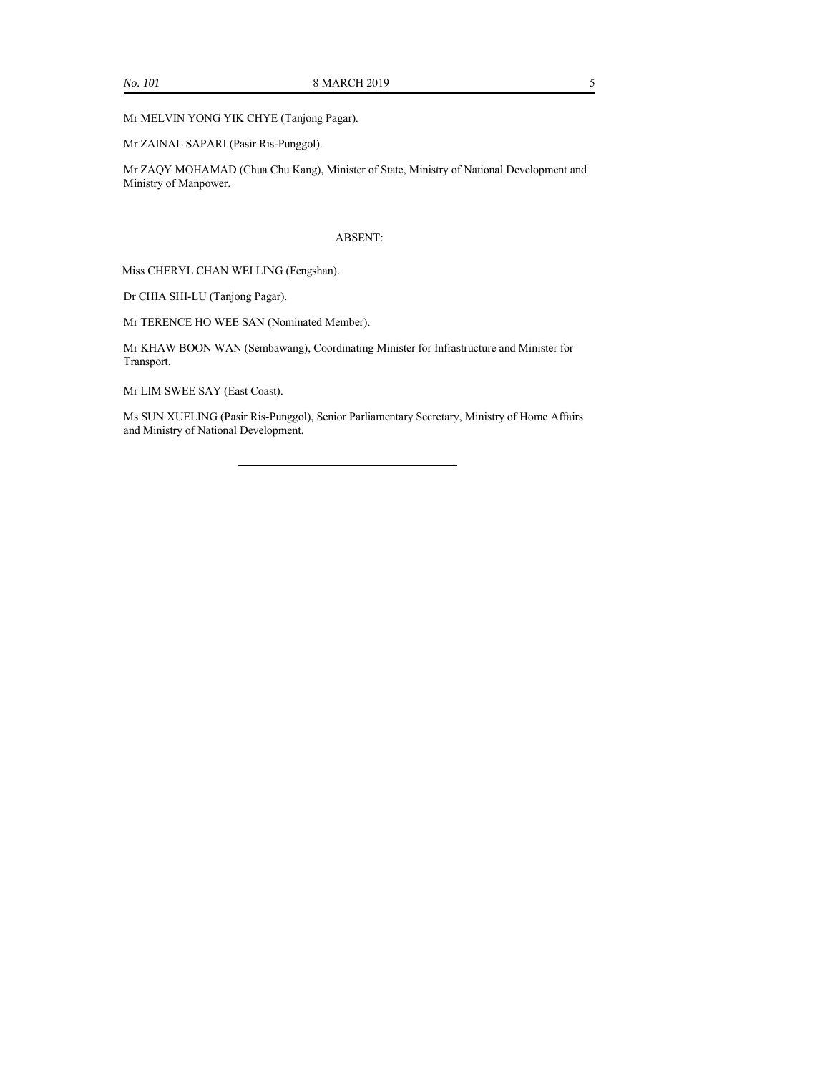Mr MELVIN YONG YIK CHYE (Tanjong Pagar).

Mr ZAINAL SAPARI (Pasir Ris-Punggol).

Mr ZAQY MOHAMAD (Chua Chu Kang), Minister of State, Ministry of National Development and Ministry of Manpower.

### ABSENT:

Miss CHERYL CHAN WEI LING (Fengshan).

Dr CHIA SHI-LU (Tanjong Pagar).

Mr TERENCE HO WEE SAN (Nominated Member).

Mr KHAW BOON WAN (Sembawang), Coordinating Minister for Infrastructure and Minister for Transport.

Mr LIM SWEE SAY (East Coast).

Ms SUN XUELING (Pasir Ris-Punggol), Senior Parliamentary Secretary, Ministry of Home Affairs and Ministry of National Development.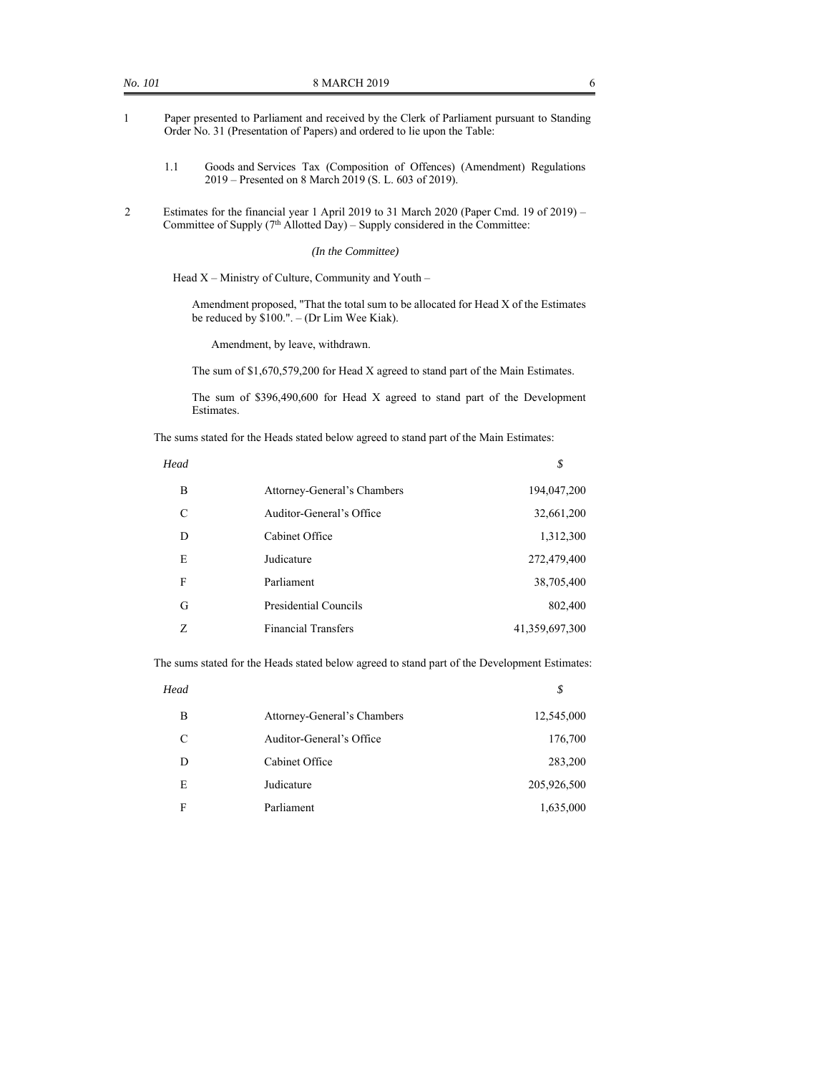- 1 Paper presented to Parliament and received by the Clerk of Parliament pursuant to Standing Order No. 31 (Presentation of Papers) and ordered to lie upon the Table:
	- 1.1 Goods and Services Tax (Composition of Offences) (Amendment) Regulations 2019 – Presented on 8 March 2019 (S. L. 603 of 2019).
- 2 Estimates for the financial year 1 April 2019 to 31 March 2020 (Paper Cmd. 19 of 2019) Committee of Supply  $(7<sup>th</sup>$  Allotted Day) – Supply considered in the Committee:

#### *(In the Committee)*

Head  $X$  – Ministry of Culture, Community and Youth –

Amendment proposed, "That the total sum to be allocated for Head X of the Estimates be reduced by \$100.". – (Dr Lim Wee Kiak).

Amendment, by leave, withdrawn.

The sum of \$1,670,579,200 for Head X agreed to stand part of the Main Estimates.

The sum of \$396,490,600 for Head X agreed to stand part of the Development Estimates.

The sums stated for the Heads stated below agreed to stand part of the Main Estimates:

| Head |    |
|------|----|
| .    | \$ |

| B             | Attorney-General's Chambers | 194,047,200    |
|---------------|-----------------------------|----------------|
| $\mathcal{C}$ | Auditor-General's Office    | 32,661,200     |
| D             | Cabinet Office              | 1,312,300      |
| E             | Judicature                  | 272,479,400    |
| F             | Parliament                  | 38,705,400     |
| G             | Presidential Councils       | 802,400        |
| Z             | <b>Financial Transfers</b>  | 41,359,697,300 |

The sums stated for the Heads stated below agreed to stand part of the Development Estimates:

| Head |                             | \$          |
|------|-----------------------------|-------------|
| B    | Attorney-General's Chambers | 12,545,000  |
| C    | Auditor-General's Office    | 176,700     |
| D    | Cabinet Office              | 283,200     |
| E    | Judicature                  | 205,926,500 |
| F    | Parliament                  | 1,635,000   |